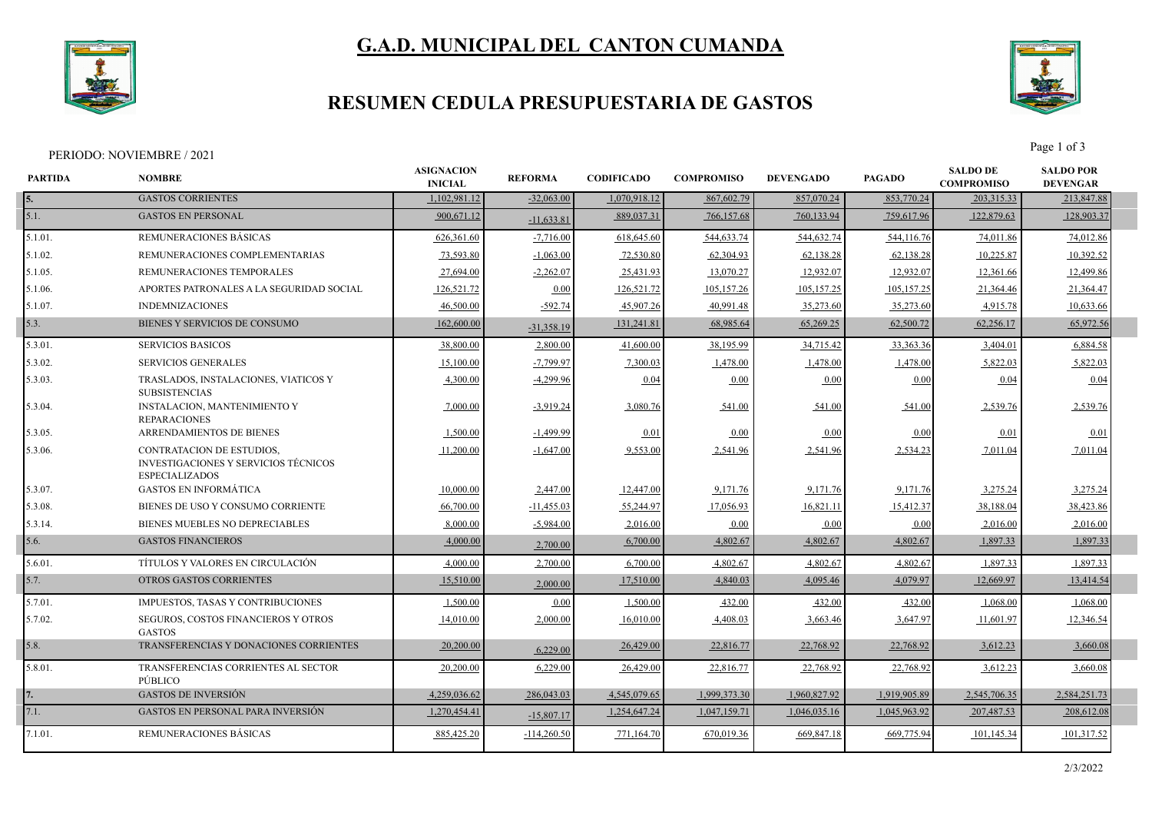

# **G.A.D. MUNICIPAL DEL CANTON CUMANDA**

#### **RESUMEN CEDULA PRESUPUESTARIA DE GASTOS**



PERIODO: NOVIEMBRE / 2021 Page 1 of 3

| <b>PARTIDA</b><br><b>NOMBRE</b> |                                                                                                   | <b>ASIGNACION</b><br><b>INICIAL</b> | <b>REFORMA</b> | <b>CODIFICADO</b> | <b>COMPROMISO</b> | <b>DEVENGADO</b> | <b>PAGADO</b> | <b>SALDO DE</b><br><b>COMPROMISO</b> | <b>SALDO POR</b><br><b>DEVENGAR</b> |  |
|---------------------------------|---------------------------------------------------------------------------------------------------|-------------------------------------|----------------|-------------------|-------------------|------------------|---------------|--------------------------------------|-------------------------------------|--|
| 15.                             | <b>GASTOS CORRIENTES</b>                                                                          | 1,102,981.12                        | $-32,063.00$   | 1,070,918.12      | 867,602.79        | 857,070.24       | 853,770.24    | 203,315.33                           | 213,847.88                          |  |
| 5.1.                            | <b>GASTOS EN PERSONAL</b>                                                                         | 900,671.12                          | $-11,633.81$   | 889,037.31        | 766,157.68        | 760,133.94       | 759,617.96    | 122,879.63                           | 128,903.37                          |  |
| 5.1.01.                         | REMUNERACIONES BÁSICAS                                                                            | 626,361.60                          | $-7,716.00$    | 618,645.60        | 544,633.74        | 544,632.74       | 544,116.76    | 74,011.86                            | 74,012.86                           |  |
| 5.1.02.                         | REMUNERACIONES COMPLEMENTARIAS                                                                    | 73,593.80                           | $-1,063.00$    | 72,530.80         | 62,304.93         | 62,138.28        | 62,138.28     | 10,225.87                            | 10,392.52                           |  |
| 5.1.05.                         | REMUNERACIONES TEMPORALES                                                                         | 27,694.00                           | $-2,262.07$    | 25,431.93         | 13,070.27         | 12,932.07        | 12,932.07     | 12,361.66                            | 12,499.86                           |  |
| 5.1.06.                         | APORTES PATRONALES A LA SEGURIDAD SOCIAL                                                          | 126,521.72                          | 0.00           | 126,521.72        | 105,157.26        | 105,157.25       | 105,157.25    | 21,364.46                            | 21,364.47                           |  |
| 5.1.07.                         | <b>INDEMNIZACIONES</b>                                                                            | 46,500.00                           | $-592.74$      | 45,907.26         | 40,991.48         | 35,273.60        | 35,273.60     | 4,915.78                             | 10,633.66                           |  |
| 5.3.                            | BIENES Y SERVICIOS DE CONSUMO                                                                     | 162,600.00                          | $-31,358.19$   | 131,241.81        | 68,985.64         | 65,269.25        | 62,500.72     | 62,256.17                            | 65,972.56                           |  |
| 5.3.01.                         | <b>SERVICIOS BASICOS</b>                                                                          | 38,800.00                           | 2,800.00       | 41,600.00         | 38,195.99         | 34,715.42        | 33,363.36     | 3,404.01                             | 6,884.58                            |  |
| 5.3.02.                         | <b>SERVICIOS GENERALES</b>                                                                        | 15,100.00                           | $-7,799.97$    | 7,300.03          | 1,478.00          | 1,478.00         | 1,478.00      | 5,822.03                             | 5,822.03                            |  |
| 5.3.03.                         | TRASLADOS, INSTALACIONES, VIATICOS Y<br><b>SUBSISTENCIAS</b>                                      | 4,300.00                            | $-4,299.96$    | 0.04              | 0.00              | 0.00             | 0.00          | 0.04                                 | 0.04                                |  |
| 5.3.04.                         | <b>INSTALACION, MANTENIMIENTO Y</b><br><b>REPARACIONES</b>                                        | 7,000.00                            | $-3,919.24$    | 3,080.76          | 541.00            | 541.00           | 541.00        | 2,539.76                             | 2,539.76                            |  |
| 5.3.05.                         | ARRENDAMIENTOS DE BIENES                                                                          | 1,500.00                            | $-1,499.99$    | 0.01              | 0.00              | 0.00             | 0.00          | 0.01                                 | 0.01                                |  |
| 5.3.06.                         | CONTRATACION DE ESTUDIOS,<br><b>INVESTIGACIONES Y SERVICIOS TÉCNICOS</b><br><b>ESPECIALIZADOS</b> | 11,200.00                           | $-1,647.00$    | 9,553.00          | 2,541.96          | 2,541.96         | 2,534.23      | 7,011.04                             | 7,011.04                            |  |
| 5.3.07.                         | <b>GASTOS EN INFORMÁTICA</b>                                                                      | 10,000.00                           | 2,447.00       | 12,447.00         | 9,171.76          | 9,171.76         | 9,171.76      | 3,275.24                             | 3,275.24                            |  |
| 5.3.08.                         | BIENES DE USO Y CONSUMO CORRIENTE                                                                 | 66,700.00                           | $-11,455.03$   | 55,244.97         | 17,056.93         | 16,821.11        | 15,412.37     | 38,188.04                            | 38,423.86                           |  |
| 5.3.14.                         | BIENES MUEBLES NO DEPRECIABLES                                                                    | 8,000.00                            | $-5,984.00$    | 2,016.00          | 0.00              | 0.00             | 0.00          | 2,016.00                             | 2,016.00                            |  |
| 5.6.                            | <b>GASTOS FINANCIEROS</b>                                                                         | 4,000.00                            | 2,700.00       | 6,700.00          | 4,802.67          | 4,802.67         | 4,802.67      | 1,897.33                             | 1,897.33                            |  |
| 5.6.01.                         | TÍTULOS Y VALORES EN CIRCULACIÓN                                                                  | 4,000.00                            | 2,700.00       | 6,700.00          | 4,802.67          | 4,802.67         | 4,802.67      | 1,897.33                             | 1,897.33                            |  |
| 5.7.                            | OTROS GASTOS CORRIENTES                                                                           | 15,510.00                           | 2,000.00       | 17,510.00         | 4,840.03          | 4,095.46         | 4,079.97      | 12,669.97                            | 13,414.54                           |  |
| 5.7.01.                         | IMPUESTOS, TASAS Y CONTRIBUCIONES                                                                 | 1,500.00                            | 0.00           | 1,500.00          | 432.00            | 432.00           | 432.00        | 1,068.00                             | 1,068.00                            |  |
| 5.7.02.                         | <b>SEGUROS, COSTOS FINANCIEROS Y OTROS</b><br><b>GASTOS</b>                                       | 14,010.00                           | 2,000.00       | 16,010.00         | 4,408.03          | 3,663.46         | 3,647.97      | 11,601.97                            | 12,346.54                           |  |
| 5.8.                            | TRANSFERENCIAS Y DONACIONES CORRIENTES                                                            | 20,200.00                           | 6,229.00       | 26,429.00         | 22,816.77         | 22,768.92        | 22,768.92     | 3,612.23                             | 3,660.08                            |  |
| 5.8.01.                         | TRANSFERENCIAS CORRIENTES AL SECTOR<br>PÚBLICO                                                    | 20,200.00                           | 6,229.00       | 26,429.00         | 22,816.77         | 22,768.92        | 22,768.92     | 3,612.23                             | 3,660.08                            |  |
| 17.                             | <b>GASTOS DE INVERSIÓN</b>                                                                        | 4.259,036.62                        | 286,043.03     | 4,545,079.65      | 1.999.373.30      | 1,960,827.92     | 1,919,905.89  | 2.545,706.35                         | 2,584,251.73                        |  |
| 7.1.                            | <b>GASTOS EN PERSONAL PARA INVERSIÓN</b>                                                          | 1,270,454.41                        | $-15,807.17$   | 1,254,647.24      | 1,047,159.71      | 1,046,035.16     | 1,045,963.92  | 207,487.53                           | 208,612.08                          |  |
| 7.1.01.                         | REMUNERACIONES BASICAS                                                                            | 885,425.20                          | $-114,260.50$  | 771,164.70        | 670,019.36        | 669,847.18       | 669,775.94    | 101,145.34                           | 101,317.52                          |  |
|                                 |                                                                                                   |                                     |                |                   |                   |                  |               |                                      |                                     |  |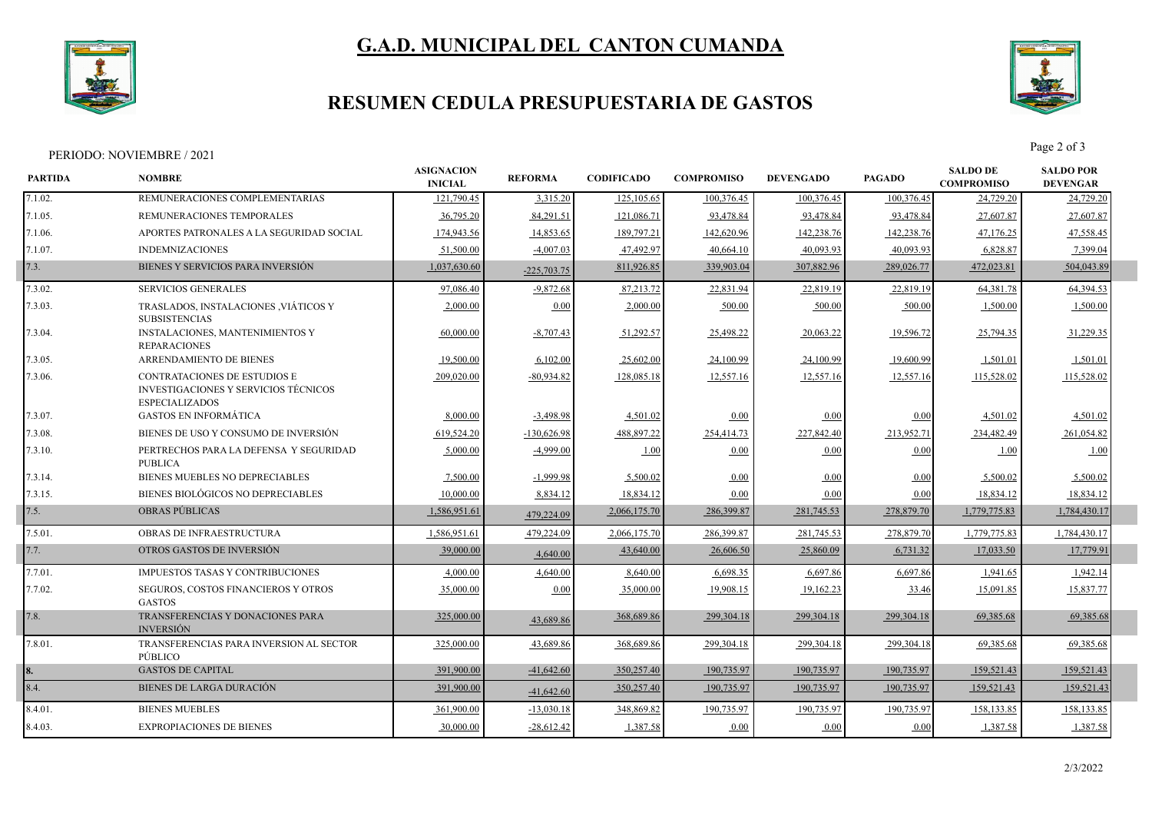

# **G.A.D. MUNICIPAL DEL CANTON CUMANDA**

### **RESUMEN CEDULA PRESUPUESTARIA DE GASTOS**



Page 2 of 3<br>Page 2 of 3

| <b>PARTIDA</b> | <b>NOMBRE</b>                                                                                 |              | <b>REFORMA</b> | <b>CODIFICADO</b> | <b>COMPROMISO</b> | <b>DEVENGADO</b> | <b>PAGADO</b> | <b>SALDO DE</b><br><b>COMPROMISO</b> | <b>SALDO POR</b><br><b>DEVENGAR</b> |  |
|----------------|-----------------------------------------------------------------------------------------------|--------------|----------------|-------------------|-------------------|------------------|---------------|--------------------------------------|-------------------------------------|--|
| 7.1.02.        | REMUNERACIONES COMPLEMENTARIAS                                                                | 121,790.45   | 3,315.20       | 125,105.65        | 100,376.45        | 100,376.45       | 100,376.45    | 24,729.20                            | 24,729.20                           |  |
| 7.1.05.        | REMUNERACIONES TEMPORALES                                                                     | 36,795.20    | 84,291.51      | 121,086.71        | 93,478.84         | 93,478.84        | 93,478.84     | 27,607.87                            | 27,607.87                           |  |
| 7.1.06.        | APORTES PATRONALES A LA SEGURIDAD SOCIAL                                                      | 174,943.56   | 14,853.65      | 189,797.21        | 142,620.96        | 142,238.76       | 142,238.76    | 47,176.25                            | 47,558.45                           |  |
| 7.1.07.        | <b>INDEMNIZACIONES</b>                                                                        | 51,500.00    | $-4,007.03$    | 47,492.97         | 40,664.10         | 40,093.93        | 40.093.93     | 6,828.87                             | 7,399.04                            |  |
| 7.3.           | BIENES Y SERVICIOS PARA INVERSIÓN                                                             | 1,037,630.60 | $-225,703.75$  | 811,926.85        | 339,903.04        | 307,882.96       | 289,026.77    | 472,023.81                           | 504,043.89                          |  |
| 7.3.02.        | <b>SERVICIOS GENERALES</b>                                                                    | 97,086.40    | $-9,872.68$    | 87,213.72         | 22,831.94         | 22,819.19        | 22,819.19     | 64,381.78                            | 64,394.53                           |  |
| 7.3.03.        | TRASLADOS, INSTALACIONES , VIÁTICOS Y<br><b>SUBSISTENCIAS</b>                                 | 2,000.00     | 0.00           | 2,000.00          | 500.00            | 500.00           | 500.00        | 1,500.00                             | 1,500.00                            |  |
| 7.3.04.        | <b>INSTALACIONES, MANTENIMIENTOS Y</b><br><b>REPARACIONES</b>                                 | 60,000.00    | $-8,707.43$    | 51,292.57         | 25,498.22         | 20,063.22        | 19,596.72     | 25,794.35                            | 31,229.35                           |  |
| 7.3.05.        | ARRENDAMIENTO DE BIENES                                                                       | 19,500.00    | 6,102.00       | 25,602.00         | 24,100.99         | 24,100.99        | 19,600.99     | 1,501.01                             | 1,501.01                            |  |
| 7.3.06.        | CONTRATACIONES DE ESTUDIOS E<br>INVESTIGACIONES Y SERVICIOS TÉCNICOS<br><b>ESPECIALIZADOS</b> | 209,020.00   | $-80,934.82$   | 128,085.18        | 12,557.16         | 12,557.16        | 12,557.16     | 115,528.02                           | 115,528.02                          |  |
| 7.3.07.        | <b>GASTOS EN INFORMÁTICA</b>                                                                  | 8,000.00     | $-3,498.98$    | 4,501.02          | 0.00              | $0.00\,$         | 0.00          | 4,501.02                             | 4,501.02                            |  |
| 7.3.08.        | BIENES DE USO Y CONSUMO DE INVERSIÓN                                                          | 619,524.20   | $-130,626.98$  | 488,897.22        | 254,414.73        | 227,842.40       | 213,952.71    | 234,482.49                           | 261,054.82                          |  |
| 7.3.10.        | PERTRECHOS PARA LA DEFENSA Y SEGURIDAD<br><b>PUBLICA</b>                                      | 5,000.00     | $-4,999.00$    | 1.00              | 0.00              | $0.00\,$         | 0.00          | 1.00                                 | 1.00                                |  |
| 7.3.14.        | BIENES MUEBLES NO DEPRECIABLES                                                                | 7,500.00     | $-1,999.98$    | 5,500.02          | 0.00              | 0.00             | 0.00          | 5,500.02                             | 5,500.02                            |  |
| 7.3.15.        | BIENES BIOLÓGICOS NO DEPRECIABLES                                                             | 10,000.00    | 8,834.12       | 18,834.12         | 0.00              | 0.00             | 0.00          | 18,834.12                            | 18,834.12                           |  |
| 7.5.           | OBRAS PÚBLICAS                                                                                | 1,586,951.61 | 479,224.09     | 2,066,175.70      | 286,399.87        | 281,745.53       | 278,879.70    | 1,779,775.83                         | 1,784,430.17                        |  |
| 7.5.01.        | OBRAS DE INFRAESTRUCTURA                                                                      | 1,586,951.61 | 479,224.09     | 2,066,175.70      | 286,399.87        | 281,745.53       | 278,879.70    | 1,779,775.83                         | 1,784,430.17                        |  |
| 7.7.           | OTROS GASTOS DE INVERSIÓN                                                                     | 39,000.00    | 4,640.00       | 43,640.00         | 26,606.50         | 25,860.09        | 6,731.32      | 17,033.50                            | 17,779.91                           |  |
| 7.7.01.        | <b>IMPUESTOS TASAS Y CONTRIBUCIONES</b>                                                       | 4,000.00     | 4,640.00       | 8,640.00          | 6,698.35          | 6,697.86         | 6,697.86      | 1,941.65                             | 1,942.14                            |  |
| 7.7.02.        | SEGUROS, COSTOS FINANCIEROS Y OTROS<br><b>GASTOS</b>                                          | 35,000.00    | 0.00           | 35,000.00         | 19,908.15         | 19,162.23        | 33.46         | 15,091.85                            | 15,837.77                           |  |
| 7.8.           | TRANSFERENCIAS Y DONACIONES PARA<br><b>INVERSIÓN</b>                                          | 325,000.00   | 43,689.86      | 368,689.86        | 299,304.18        | 299,304.18       | 299,304.18    | 69,385.68                            | 69,385.68                           |  |
| 7.8.01.        | TRANSFERENCIAS PARA INVERSION AL SECTOR<br>PÚBLICO                                            | 325,000.00   | 43,689.86      | 368,689.86        | 299,304.18        | 299,304.18       | 299,304.1     | 69,385.68                            | 69,385.68                           |  |
|                | <b>GASTOS DE CAPITAL</b>                                                                      | 391,900.00   | $-41,642.60$   | 350,257.40        | 190,735.97        | 190,735.97       | 190,735.97    | 159,521.43                           | 159,521.43                          |  |
| 8.4.           | <b>BIENES DE LARGA DURACIÓN</b>                                                               | 391,900.00   | $-41,642.60$   | 350,257.40        | 190,735.97        | 190,735.97       | 190,735.97    | 159,521.43                           | 159,521.43                          |  |
| 8.4.01.        | <b>BIENES MUEBLES</b>                                                                         | 361,900.00   | $-13,030.18$   | 348,869.82        | 190,735.97        | 190,735.97       | 190,735.97    | 158,133.85                           | 158,133.85                          |  |
| 8.4.03.        | <b>EXPROPIACIONES DE BIENES</b>                                                               | 30,000.00    | $-28,612.42$   | 1,387.58          | 0.00              | 0.00             | 0.00          | 1,387.58                             | 1,387.58                            |  |